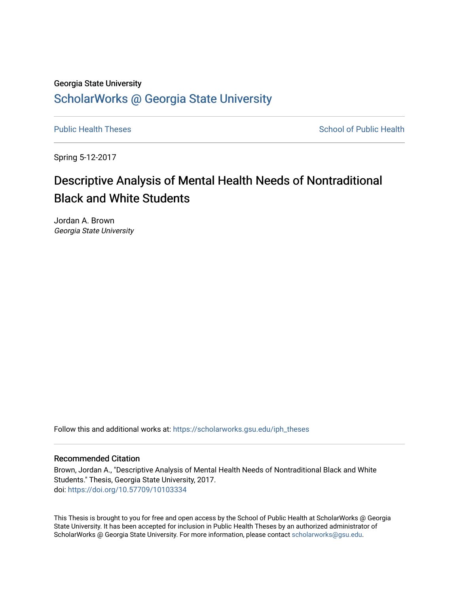# Georgia State University [ScholarWorks @ Georgia State University](https://scholarworks.gsu.edu/)

[Public Health Theses](https://scholarworks.gsu.edu/iph_theses) **School of Public Health** Public Health

Spring 5-12-2017

# Descriptive Analysis of Mental Health Needs of Nontraditional Black and White Students

Jordan A. Brown Georgia State University

Follow this and additional works at: [https://scholarworks.gsu.edu/iph\\_theses](https://scholarworks.gsu.edu/iph_theses?utm_source=scholarworks.gsu.edu%2Fiph_theses%2F530&utm_medium=PDF&utm_campaign=PDFCoverPages) 

### Recommended Citation

Brown, Jordan A., "Descriptive Analysis of Mental Health Needs of Nontraditional Black and White Students." Thesis, Georgia State University, 2017. doi: <https://doi.org/10.57709/10103334>

This Thesis is brought to you for free and open access by the School of Public Health at ScholarWorks @ Georgia State University. It has been accepted for inclusion in Public Health Theses by an authorized administrator of ScholarWorks @ Georgia State University. For more information, please contact [scholarworks@gsu.edu](mailto:scholarworks@gsu.edu).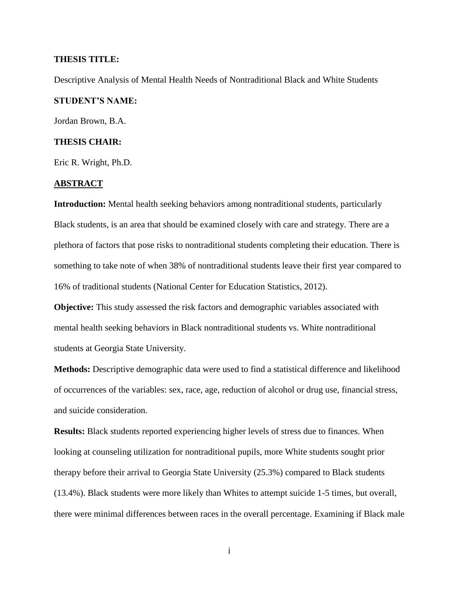### **THESIS TITLE:**

Descriptive Analysis of Mental Health Needs of Nontraditional Black and White Students

### **STUDENT'S NAME:**

Jordan Brown, B.A.

### **THESIS CHAIR:**

Eric R. Wright, Ph.D.

### **ABSTRACT**

**Introduction:** Mental health seeking behaviors among nontraditional students, particularly Black students, is an area that should be examined closely with care and strategy. There are a plethora of factors that pose risks to nontraditional students completing their education. There is something to take note of when 38% of nontraditional students leave their first year compared to 16% of traditional students (National Center for Education Statistics, 2012).

**Objective:** This study assessed the risk factors and demographic variables associated with mental health seeking behaviors in Black nontraditional students vs. White nontraditional students at Georgia State University.

**Methods:** Descriptive demographic data were used to find a statistical difference and likelihood of occurrences of the variables: sex, race, age, reduction of alcohol or drug use, financial stress, and suicide consideration.

**Results:** Black students reported experiencing higher levels of stress due to finances. When looking at counseling utilization for nontraditional pupils, more White students sought prior therapy before their arrival to Georgia State University (25.3%) compared to Black students (13.4%). Black students were more likely than Whites to attempt suicide 1-5 times, but overall, there were minimal differences between races in the overall percentage. Examining if Black male

i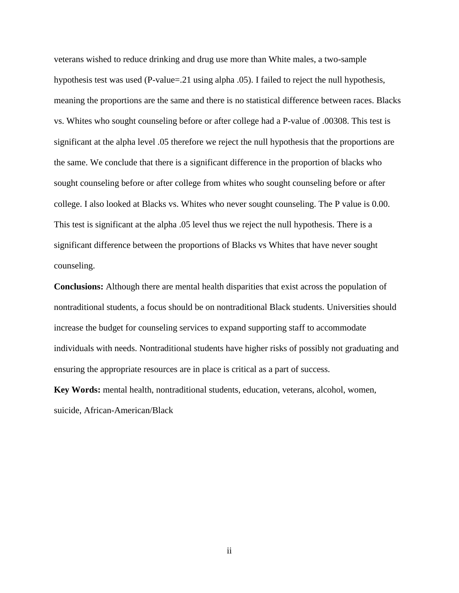veterans wished to reduce drinking and drug use more than White males, a two-sample hypothesis test was used (P-value=.21 using alpha .05). I failed to reject the null hypothesis, meaning the proportions are the same and there is no statistical difference between races. Blacks vs. Whites who sought counseling before or after college had a P-value of .00308. This test is significant at the alpha level .05 therefore we reject the null hypothesis that the proportions are the same. We conclude that there is a significant difference in the proportion of blacks who sought counseling before or after college from whites who sought counseling before or after college. I also looked at Blacks vs. Whites who never sought counseling. The P value is 0.00. This test is significant at the alpha .05 level thus we reject the null hypothesis. There is a significant difference between the proportions of Blacks vs Whites that have never sought counseling.

**Conclusions:** Although there are mental health disparities that exist across the population of nontraditional students, a focus should be on nontraditional Black students. Universities should increase the budget for counseling services to expand supporting staff to accommodate individuals with needs. Nontraditional students have higher risks of possibly not graduating and ensuring the appropriate resources are in place is critical as a part of success.

**Key Words:** mental health, nontraditional students, education, veterans, alcohol, women, suicide, African-American/Black

ii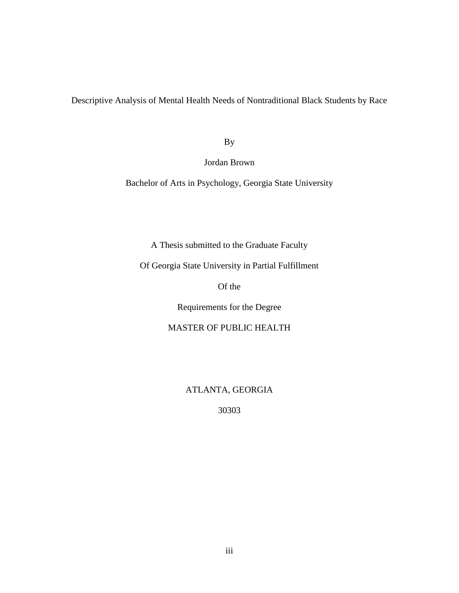Descriptive Analysis of Mental Health Needs of Nontraditional Black Students by Race

By

Jordan Brown

Bachelor of Arts in Psychology, Georgia State University

A Thesis submitted to the Graduate Faculty

Of Georgia State University in Partial Fulfillment

Of the

Requirements for the Degree

MASTER OF PUBLIC HEALTH

ATLANTA, GEORGIA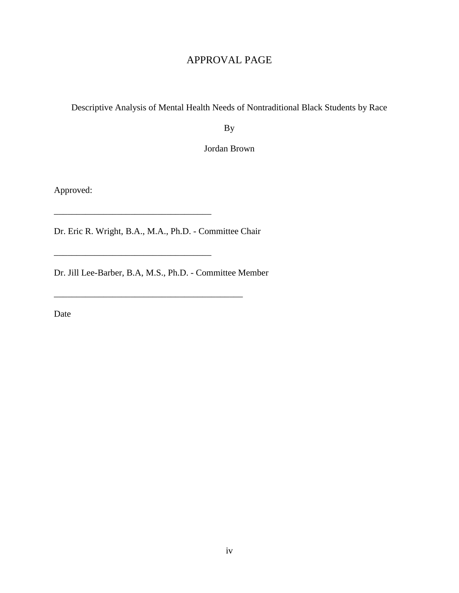## APPROVAL PAGE

Descriptive Analysis of Mental Health Needs of Nontraditional Black Students by Race

By

Jordan Brown

Approved:

Dr. Eric R. Wright, B.A., M.A., Ph.D. - Committee Chair

\_\_\_\_\_\_\_\_\_\_\_\_\_\_\_\_\_\_\_\_\_\_\_\_\_\_\_\_\_\_\_\_\_\_\_

Dr. Jill Lee-Barber, B.A, M.S., Ph.D. - Committee Member

\_\_\_\_\_\_\_\_\_\_\_\_\_\_\_\_\_\_\_\_\_\_\_\_\_\_\_\_\_\_\_\_\_\_\_\_\_\_\_\_\_\_

Date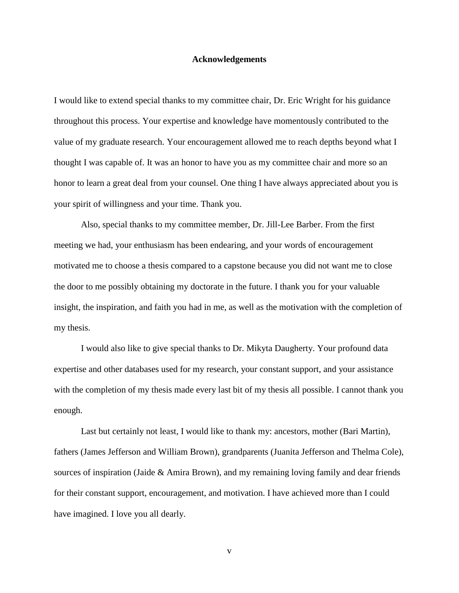#### **Acknowledgements**

I would like to extend special thanks to my committee chair, Dr. Eric Wright for his guidance throughout this process. Your expertise and knowledge have momentously contributed to the value of my graduate research. Your encouragement allowed me to reach depths beyond what I thought I was capable of. It was an honor to have you as my committee chair and more so an honor to learn a great deal from your counsel. One thing I have always appreciated about you is your spirit of willingness and your time. Thank you.

Also, special thanks to my committee member, Dr. Jill-Lee Barber. From the first meeting we had, your enthusiasm has been endearing, and your words of encouragement motivated me to choose a thesis compared to a capstone because you did not want me to close the door to me possibly obtaining my doctorate in the future. I thank you for your valuable insight, the inspiration, and faith you had in me, as well as the motivation with the completion of my thesis.

I would also like to give special thanks to Dr. Mikyta Daugherty. Your profound data expertise and other databases used for my research, your constant support, and your assistance with the completion of my thesis made every last bit of my thesis all possible. I cannot thank you enough.

Last but certainly not least, I would like to thank my: ancestors, mother (Bari Martin), fathers (James Jefferson and William Brown), grandparents (Juanita Jefferson and Thelma Cole), sources of inspiration (Jaide & Amira Brown), and my remaining loving family and dear friends for their constant support, encouragement, and motivation. I have achieved more than I could have imagined. I love you all dearly.

v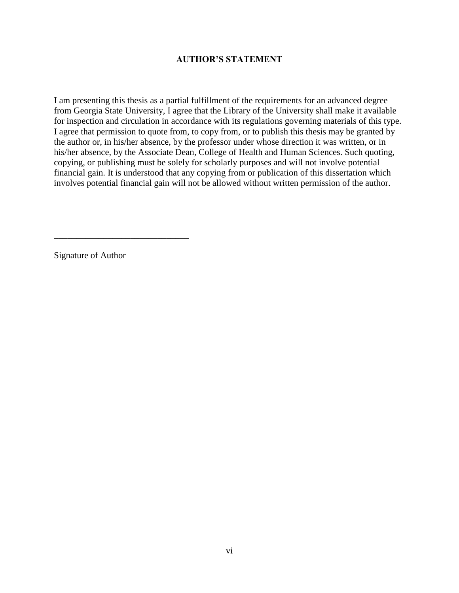## **AUTHOR'S STATEMENT**

I am presenting this thesis as a partial fulfillment of the requirements for an advanced degree from Georgia State University, I agree that the Library of the University shall make it available for inspection and circulation in accordance with its regulations governing materials of this type. I agree that permission to quote from, to copy from, or to publish this thesis may be granted by the author or, in his/her absence, by the professor under whose direction it was written, or in his/her absence, by the Associate Dean, College of Health and Human Sciences. Such quoting, copying, or publishing must be solely for scholarly purposes and will not involve potential financial gain. It is understood that any copying from or publication of this dissertation which involves potential financial gain will not be allowed without written permission of the author.

Signature of Author

\_\_\_\_\_\_\_\_\_\_\_\_\_\_\_\_\_\_\_\_\_\_\_\_\_\_\_\_\_\_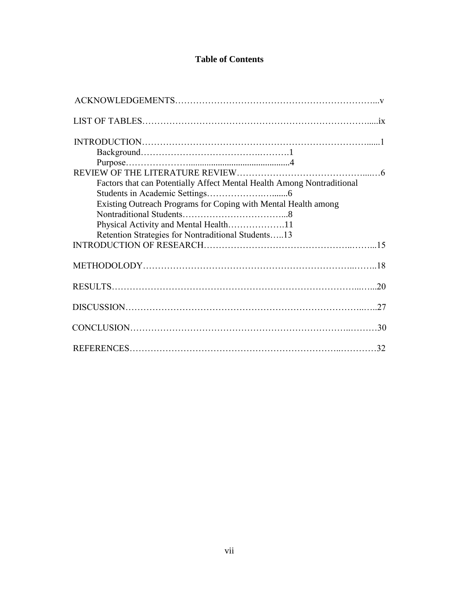## **Table of Contents**

| Factors that can Potentially Affect Mental Health Among Nontraditional |  |
|------------------------------------------------------------------------|--|
|                                                                        |  |
| Existing Outreach Programs for Coping with Mental Health among         |  |
|                                                                        |  |
|                                                                        |  |
| Retention Strategies for Nontraditional Students13                     |  |
|                                                                        |  |
|                                                                        |  |
|                                                                        |  |
|                                                                        |  |
|                                                                        |  |
|                                                                        |  |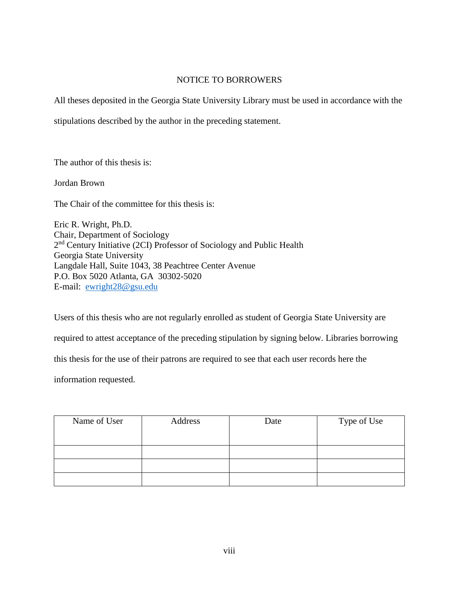### NOTICE TO BORROWERS

All theses deposited in the Georgia State University Library must be used in accordance with the

stipulations described by the author in the preceding statement.

The author of this thesis is:

Jordan Brown

The Chair of the committee for this thesis is:

Eric R. Wright, Ph.D. Chair, Department of Sociology 2<sup>nd</sup> Century Initiative (2CI) Professor of Sociology and Public Health Georgia State University Langdale Hall, Suite 1043, 38 Peachtree Center Avenue P.O. Box 5020 Atlanta, GA 30302-5020 E-mail: [ewright28@gsu.edu](mailto:ewright28@gsu.edu)

Users of this thesis who are not regularly enrolled as student of Georgia State University are

required to attest acceptance of the preceding stipulation by signing below. Libraries borrowing

this thesis for the use of their patrons are required to see that each user records here the

information requested.

| Name of User | Address | Date | Type of Use |
|--------------|---------|------|-------------|
|              |         |      |             |
|              |         |      |             |
|              |         |      |             |
|              |         |      |             |
|              |         |      |             |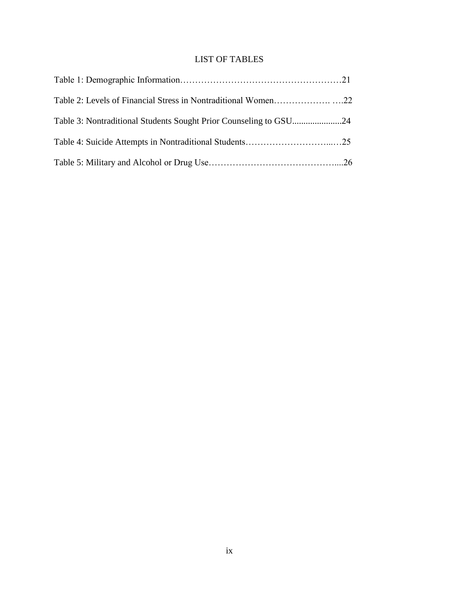## LIST OF TABLES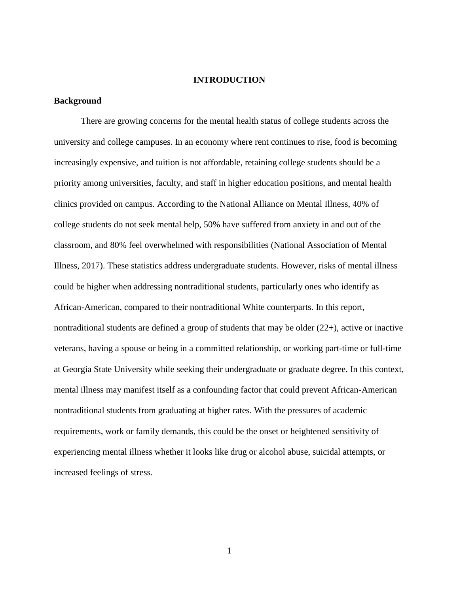### **INTRODUCTION**

### **Background**

There are growing concerns for the mental health status of college students across the university and college campuses. In an economy where rent continues to rise, food is becoming increasingly expensive, and tuition is not affordable, retaining college students should be a priority among universities, faculty, and staff in higher education positions, and mental health clinics provided on campus. According to the National Alliance on Mental Illness, 40% of college students do not seek mental help, 50% have suffered from anxiety in and out of the classroom, and 80% feel overwhelmed with responsibilities (National Association of Mental Illness, 2017). These statistics address undergraduate students. However, risks of mental illness could be higher when addressing nontraditional students, particularly ones who identify as African-American, compared to their nontraditional White counterparts. In this report, nontraditional students are defined a group of students that may be older  $(22+)$ , active or inactive veterans, having a spouse or being in a committed relationship, or working part-time or full-time at Georgia State University while seeking their undergraduate or graduate degree. In this context, mental illness may manifest itself as a confounding factor that could prevent African-American nontraditional students from graduating at higher rates. With the pressures of academic requirements, work or family demands, this could be the onset or heightened sensitivity of experiencing mental illness whether it looks like drug or alcohol abuse, suicidal attempts, or increased feelings of stress.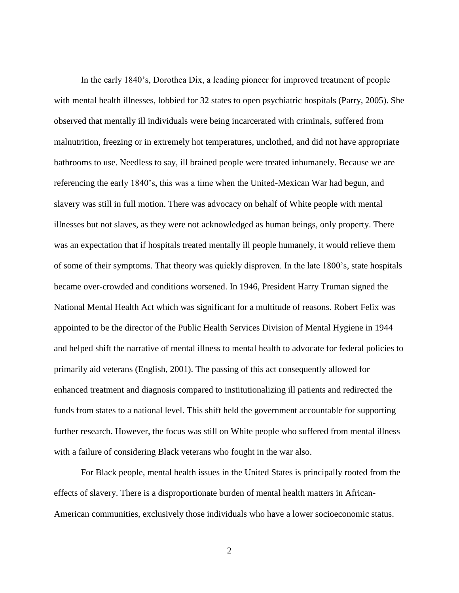In the early 1840's, Dorothea Dix, a leading pioneer for improved treatment of people with mental health illnesses, lobbied for 32 states to open psychiatric hospitals (Parry, 2005). She observed that mentally ill individuals were being incarcerated with criminals, suffered from malnutrition, freezing or in extremely hot temperatures, unclothed, and did not have appropriate bathrooms to use. Needless to say, ill brained people were treated inhumanely. Because we are referencing the early 1840's, this was a time when the United-Mexican War had begun, and slavery was still in full motion. There was advocacy on behalf of White people with mental illnesses but not slaves, as they were not acknowledged as human beings, only property. There was an expectation that if hospitals treated mentally ill people humanely, it would relieve them of some of their symptoms. That theory was quickly disproven. In the late 1800's, state hospitals became over-crowded and conditions worsened. In 1946, President Harry Truman signed the National Mental Health Act which was significant for a multitude of reasons. Robert Felix was appointed to be the director of the Public Health Services Division of Mental Hygiene in 1944 and helped shift the narrative of mental illness to mental health to advocate for federal policies to primarily aid veterans (English, 2001). The passing of this act consequently allowed for enhanced treatment and diagnosis compared to institutionalizing ill patients and redirected the funds from states to a national level. This shift held the government accountable for supporting further research. However, the focus was still on White people who suffered from mental illness with a failure of considering Black veterans who fought in the war also.

For Black people, mental health issues in the United States is principally rooted from the effects of slavery. There is a disproportionate burden of mental health matters in African-American communities, exclusively those individuals who have a lower socioeconomic status.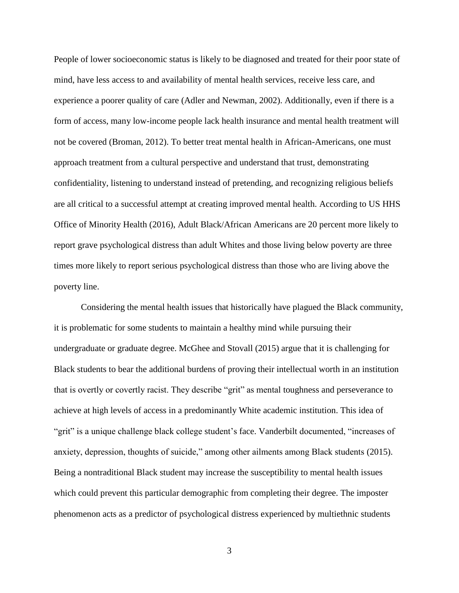People of lower socioeconomic status is likely to be diagnosed and treated for their poor state of mind, have less access to and availability of mental health services, receive less care, and experience a poorer quality of care (Adler and Newman, 2002). Additionally, even if there is a form of access, many low-income people lack health insurance and mental health treatment will not be covered (Broman, 2012). To better treat mental health in African-Americans, one must approach treatment from a cultural perspective and understand that trust, demonstrating confidentiality, listening to understand instead of pretending, and recognizing religious beliefs are all critical to a successful attempt at creating improved mental health. According to US HHS Office of Minority Health (2016), Adult Black/African Americans are 20 percent more likely to report grave psychological distress than adult Whites and those living below poverty are three times more likely to report serious psychological distress than those who are living above the poverty line.

Considering the mental health issues that historically have plagued the Black community, it is problematic for some students to maintain a healthy mind while pursuing their undergraduate or graduate degree. McGhee and Stovall (2015) argue that it is challenging for Black students to bear the additional burdens of proving their intellectual worth in an institution that is overtly or covertly racist. They describe "grit" as mental toughness and perseverance to achieve at high levels of access in a predominantly White academic institution. This idea of "grit" is a unique challenge black college student's face. Vanderbilt documented, "increases of anxiety, depression, thoughts of suicide," among other ailments among Black students (2015). Being a nontraditional Black student may increase the susceptibility to mental health issues which could prevent this particular demographic from completing their degree. The imposter phenomenon acts as a predictor of psychological distress experienced by multiethnic students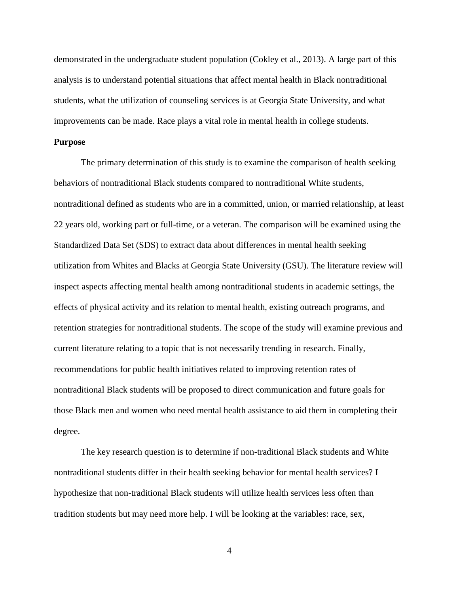demonstrated in the undergraduate student population (Cokley et al., 2013). A large part of this analysis is to understand potential situations that affect mental health in Black nontraditional students, what the utilization of counseling services is at Georgia State University, and what improvements can be made. Race plays a vital role in mental health in college students.

#### **Purpose**

The primary determination of this study is to examine the comparison of health seeking behaviors of nontraditional Black students compared to nontraditional White students, nontraditional defined as students who are in a committed, union, or married relationship, at least 22 years old, working part or full-time, or a veteran. The comparison will be examined using the Standardized Data Set (SDS) to extract data about differences in mental health seeking utilization from Whites and Blacks at Georgia State University (GSU). The literature review will inspect aspects affecting mental health among nontraditional students in academic settings, the effects of physical activity and its relation to mental health, existing outreach programs, and retention strategies for nontraditional students. The scope of the study will examine previous and current literature relating to a topic that is not necessarily trending in research. Finally, recommendations for public health initiatives related to improving retention rates of nontraditional Black students will be proposed to direct communication and future goals for those Black men and women who need mental health assistance to aid them in completing their degree.

The key research question is to determine if non-traditional Black students and White nontraditional students differ in their health seeking behavior for mental health services? I hypothesize that non-traditional Black students will utilize health services less often than tradition students but may need more help. I will be looking at the variables: race, sex,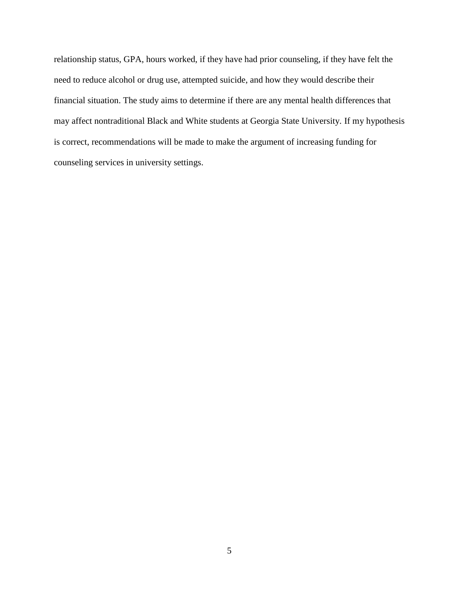relationship status, GPA, hours worked, if they have had prior counseling, if they have felt the need to reduce alcohol or drug use, attempted suicide, and how they would describe their financial situation. The study aims to determine if there are any mental health differences that may affect nontraditional Black and White students at Georgia State University. If my hypothesis is correct, recommendations will be made to make the argument of increasing funding for counseling services in university settings.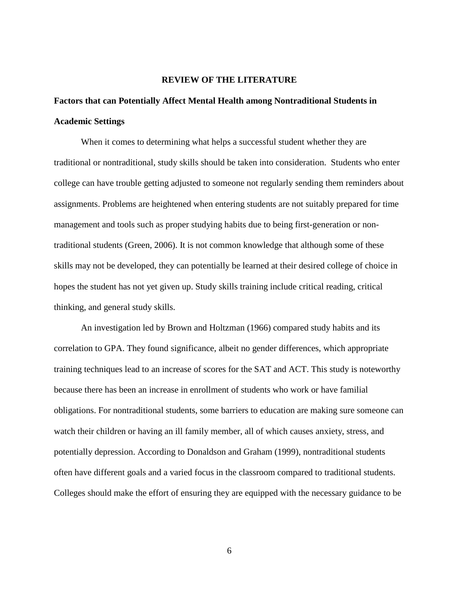### **REVIEW OF THE LITERATURE**

# **Factors that can Potentially Affect Mental Health among Nontraditional Students in Academic Settings**

When it comes to determining what helps a successful student whether they are traditional or nontraditional, study skills should be taken into consideration. Students who enter college can have trouble getting adjusted to someone not regularly sending them reminders about assignments. Problems are heightened when entering students are not suitably prepared for time management and tools such as proper studying habits due to being first-generation or nontraditional students (Green, 2006). It is not common knowledge that although some of these skills may not be developed, they can potentially be learned at their desired college of choice in hopes the student has not yet given up. Study skills training include critical reading, critical thinking, and general study skills.

An investigation led by Brown and Holtzman (1966) compared study habits and its correlation to GPA. They found significance, albeit no gender differences, which appropriate training techniques lead to an increase of scores for the SAT and ACT. This study is noteworthy because there has been an increase in enrollment of students who work or have familial obligations. For nontraditional students, some barriers to education are making sure someone can watch their children or having an ill family member, all of which causes anxiety, stress, and potentially depression. According to Donaldson and Graham (1999), nontraditional students often have different goals and a varied focus in the classroom compared to traditional students. Colleges should make the effort of ensuring they are equipped with the necessary guidance to be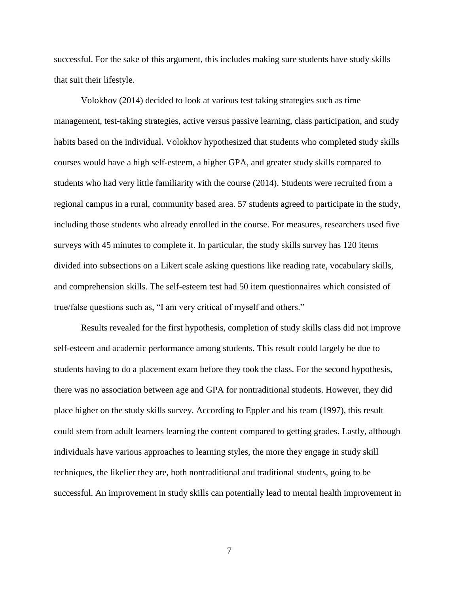successful. For the sake of this argument, this includes making sure students have study skills that suit their lifestyle.

Volokhov (2014) decided to look at various test taking strategies such as time management, test-taking strategies, active versus passive learning, class participation, and study habits based on the individual. Volokhov hypothesized that students who completed study skills courses would have a high self-esteem, a higher GPA, and greater study skills compared to students who had very little familiarity with the course (2014). Students were recruited from a regional campus in a rural, community based area. 57 students agreed to participate in the study, including those students who already enrolled in the course. For measures, researchers used five surveys with 45 minutes to complete it. In particular, the study skills survey has 120 items divided into subsections on a Likert scale asking questions like reading rate, vocabulary skills, and comprehension skills. The self-esteem test had 50 item questionnaires which consisted of true/false questions such as, "I am very critical of myself and others."

Results revealed for the first hypothesis, completion of study skills class did not improve self-esteem and academic performance among students. This result could largely be due to students having to do a placement exam before they took the class. For the second hypothesis, there was no association between age and GPA for nontraditional students. However, they did place higher on the study skills survey. According to Eppler and his team (1997), this result could stem from adult learners learning the content compared to getting grades. Lastly, although individuals have various approaches to learning styles, the more they engage in study skill techniques, the likelier they are, both nontraditional and traditional students, going to be successful. An improvement in study skills can potentially lead to mental health improvement in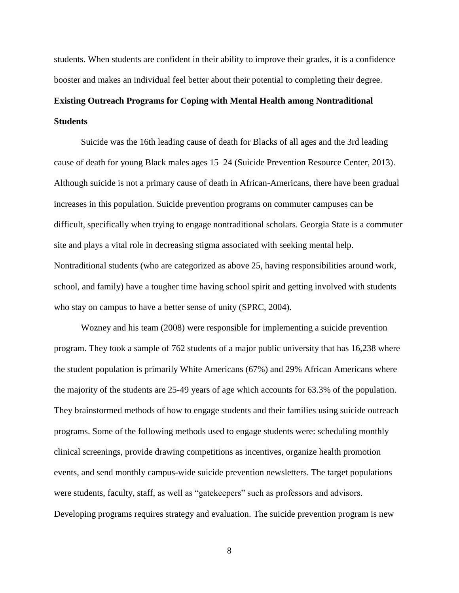students. When students are confident in their ability to improve their grades, it is a confidence booster and makes an individual feel better about their potential to completing their degree.

# **Existing Outreach Programs for Coping with Mental Health among Nontraditional Students**

Suicide was the 16th leading cause of death for Blacks of all ages and the 3rd leading cause of death for young Black males ages 15–24 (Suicide Prevention Resource Center, 2013). Although suicide is not a primary cause of death in African-Americans, there have been gradual increases in this population. Suicide prevention programs on commuter campuses can be difficult, specifically when trying to engage nontraditional scholars. Georgia State is a commuter site and plays a vital role in decreasing stigma associated with seeking mental help. Nontraditional students (who are categorized as above 25, having responsibilities around work, school, and family) have a tougher time having school spirit and getting involved with students who stay on campus to have a better sense of unity (SPRC, 2004).

Wozney and his team (2008) were responsible for implementing a suicide prevention program. They took a sample of 762 students of a major public university that has 16,238 where the student population is primarily White Americans (67%) and 29% African Americans where the majority of the students are 25-49 years of age which accounts for 63.3% of the population. They brainstormed methods of how to engage students and their families using suicide outreach programs. Some of the following methods used to engage students were: scheduling monthly clinical screenings, provide drawing competitions as incentives, organize health promotion events, and send monthly campus-wide suicide prevention newsletters. The target populations were students, faculty, staff, as well as "gatekeepers" such as professors and advisors. Developing programs requires strategy and evaluation. The suicide prevention program is new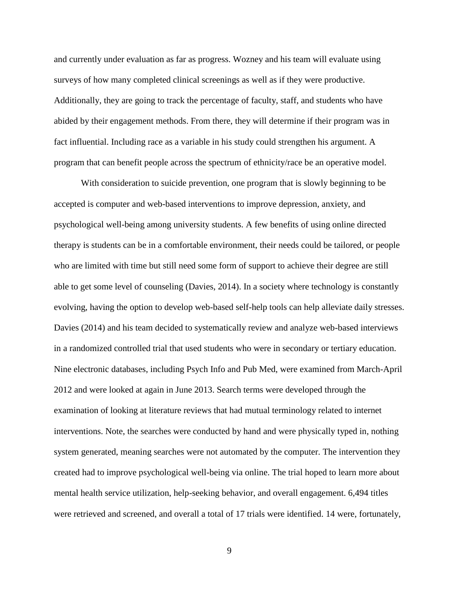and currently under evaluation as far as progress. Wozney and his team will evaluate using surveys of how many completed clinical screenings as well as if they were productive. Additionally, they are going to track the percentage of faculty, staff, and students who have abided by their engagement methods. From there, they will determine if their program was in fact influential. Including race as a variable in his study could strengthen his argument. A program that can benefit people across the spectrum of ethnicity/race be an operative model.

With consideration to suicide prevention, one program that is slowly beginning to be accepted is computer and web-based interventions to improve depression, anxiety, and psychological well-being among university students. A few benefits of using online directed therapy is students can be in a comfortable environment, their needs could be tailored, or people who are limited with time but still need some form of support to achieve their degree are still able to get some level of counseling (Davies, 2014). In a society where technology is constantly evolving, having the option to develop web-based self-help tools can help alleviate daily stresses. Davies (2014) and his team decided to systematically review and analyze web-based interviews in a randomized controlled trial that used students who were in secondary or tertiary education. Nine electronic databases, including Psych Info and Pub Med, were examined from March-April 2012 and were looked at again in June 2013. Search terms were developed through the examination of looking at literature reviews that had mutual terminology related to internet interventions. Note, the searches were conducted by hand and were physically typed in, nothing system generated, meaning searches were not automated by the computer. The intervention they created had to improve psychological well-being via online. The trial hoped to learn more about mental health service utilization, help-seeking behavior, and overall engagement. 6,494 titles were retrieved and screened, and overall a total of 17 trials were identified. 14 were, fortunately,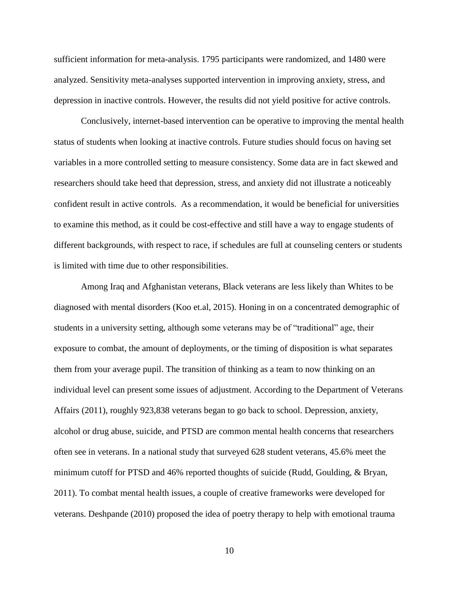sufficient information for meta-analysis. 1795 participants were randomized, and 1480 were analyzed. Sensitivity meta-analyses supported intervention in improving anxiety, stress, and depression in inactive controls. However, the results did not yield positive for active controls.

Conclusively, internet-based intervention can be operative to improving the mental health status of students when looking at inactive controls. Future studies should focus on having set variables in a more controlled setting to measure consistency. Some data are in fact skewed and researchers should take heed that depression, stress, and anxiety did not illustrate a noticeably confident result in active controls. As a recommendation, it would be beneficial for universities to examine this method, as it could be cost-effective and still have a way to engage students of different backgrounds, with respect to race, if schedules are full at counseling centers or students is limited with time due to other responsibilities.

Among Iraq and Afghanistan veterans, Black veterans are less likely than Whites to be diagnosed with mental disorders (Koo et.al, 2015). Honing in on a concentrated demographic of students in a university setting, although some veterans may be of "traditional" age, their exposure to combat, the amount of deployments, or the timing of disposition is what separates them from your average pupil. The transition of thinking as a team to now thinking on an individual level can present some issues of adjustment. According to the Department of Veterans Affairs (2011), roughly 923,838 veterans began to go back to school. Depression, anxiety, alcohol or drug abuse, suicide, and PTSD are common mental health concerns that researchers often see in veterans. In a national study that surveyed 628 student veterans, 45.6% meet the minimum cutoff for PTSD and 46% reported thoughts of suicide (Rudd, Goulding, & Bryan, 2011). To combat mental health issues, a couple of creative frameworks were developed for veterans. Deshpande (2010) proposed the idea of poetry therapy to help with emotional trauma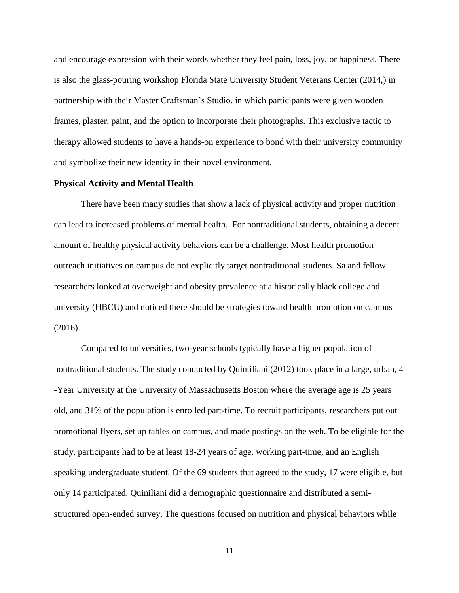and encourage expression with their words whether they feel pain, loss, joy, or happiness. There is also the glass-pouring workshop Florida State University Student Veterans Center (2014,) in partnership with their Master Craftsman's Studio, in which participants were given wooden frames, plaster, paint, and the option to incorporate their photographs. This exclusive tactic to therapy allowed students to have a hands-on experience to bond with their university community and symbolize their new identity in their novel environment.

### **Physical Activity and Mental Health**

There have been many studies that show a lack of physical activity and proper nutrition can lead to increased problems of mental health. For nontraditional students, obtaining a decent amount of healthy physical activity behaviors can be a challenge. Most health promotion outreach initiatives on campus do not explicitly target nontraditional students. Sa and fellow researchers looked at overweight and obesity prevalence at a historically black college and university (HBCU) and noticed there should be strategies toward health promotion on campus (2016).

Compared to universities, two-year schools typically have a higher population of nontraditional students. The study conducted by Quintiliani (2012) took place in a large, urban, 4 -Year University at the University of Massachusetts Boston where the average age is 25 years old, and 31% of the population is enrolled part-time. To recruit participants, researchers put out promotional flyers, set up tables on campus, and made postings on the web. To be eligible for the study, participants had to be at least 18-24 years of age, working part-time, and an English speaking undergraduate student. Of the 69 students that agreed to the study, 17 were eligible, but only 14 participated. Quiniliani did a demographic questionnaire and distributed a semistructured open-ended survey. The questions focused on nutrition and physical behaviors while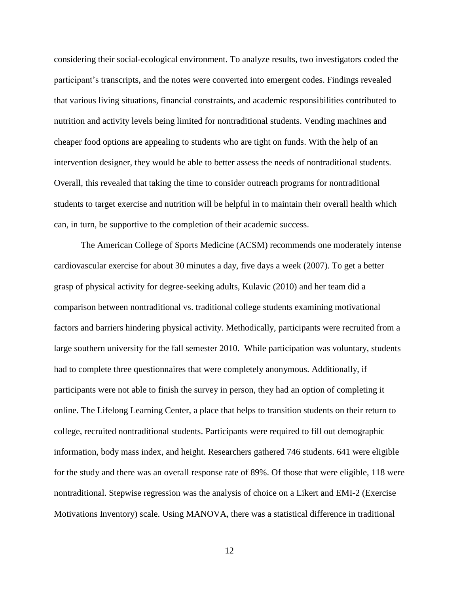considering their social-ecological environment. To analyze results, two investigators coded the participant's transcripts, and the notes were converted into emergent codes. Findings revealed that various living situations, financial constraints, and academic responsibilities contributed to nutrition and activity levels being limited for nontraditional students. Vending machines and cheaper food options are appealing to students who are tight on funds. With the help of an intervention designer, they would be able to better assess the needs of nontraditional students. Overall, this revealed that taking the time to consider outreach programs for nontraditional students to target exercise and nutrition will be helpful in to maintain their overall health which can, in turn, be supportive to the completion of their academic success.

The American College of Sports Medicine (ACSM) recommends one moderately intense cardiovascular exercise for about 30 minutes a day, five days a week (2007). To get a better grasp of physical activity for degree-seeking adults, Kulavic (2010) and her team did a comparison between nontraditional vs. traditional college students examining motivational factors and barriers hindering physical activity. Methodically, participants were recruited from a large southern university for the fall semester 2010. While participation was voluntary, students had to complete three questionnaires that were completely anonymous. Additionally, if participants were not able to finish the survey in person, they had an option of completing it online. The Lifelong Learning Center, a place that helps to transition students on their return to college, recruited nontraditional students. Participants were required to fill out demographic information, body mass index, and height. Researchers gathered 746 students. 641 were eligible for the study and there was an overall response rate of 89%. Of those that were eligible, 118 were nontraditional. Stepwise regression was the analysis of choice on a Likert and EMI-2 (Exercise Motivations Inventory) scale. Using MANOVA, there was a statistical difference in traditional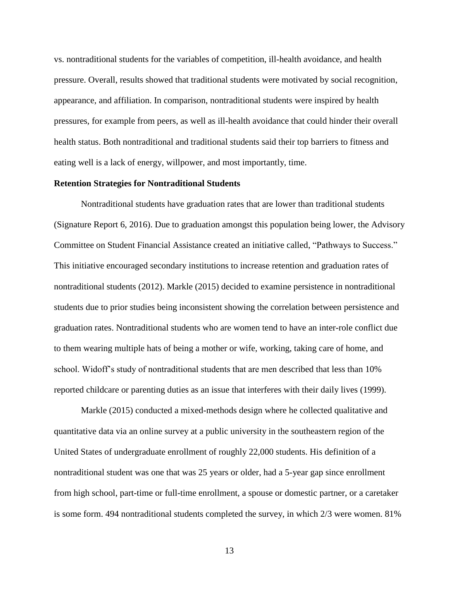vs. nontraditional students for the variables of competition, ill-health avoidance, and health pressure. Overall, results showed that traditional students were motivated by social recognition, appearance, and affiliation. In comparison, nontraditional students were inspired by health pressures, for example from peers, as well as ill-health avoidance that could hinder their overall health status. Both nontraditional and traditional students said their top barriers to fitness and eating well is a lack of energy, willpower, and most importantly, time.

### **Retention Strategies for Nontraditional Students**

Nontraditional students have graduation rates that are lower than traditional students (Signature Report 6, 2016). Due to graduation amongst this population being lower, the Advisory Committee on Student Financial Assistance created an initiative called, "Pathways to Success." This initiative encouraged secondary institutions to increase retention and graduation rates of nontraditional students (2012). Markle (2015) decided to examine persistence in nontraditional students due to prior studies being inconsistent showing the correlation between persistence and graduation rates. Nontraditional students who are women tend to have an inter-role conflict due to them wearing multiple hats of being a mother or wife, working, taking care of home, and school. Widoff's study of nontraditional students that are men described that less than 10% reported childcare or parenting duties as an issue that interferes with their daily lives (1999).

Markle (2015) conducted a mixed-methods design where he collected qualitative and quantitative data via an online survey at a public university in the southeastern region of the United States of undergraduate enrollment of roughly 22,000 students. His definition of a nontraditional student was one that was 25 years or older, had a 5-year gap since enrollment from high school, part-time or full-time enrollment, a spouse or domestic partner, or a caretaker is some form. 494 nontraditional students completed the survey, in which 2/3 were women. 81%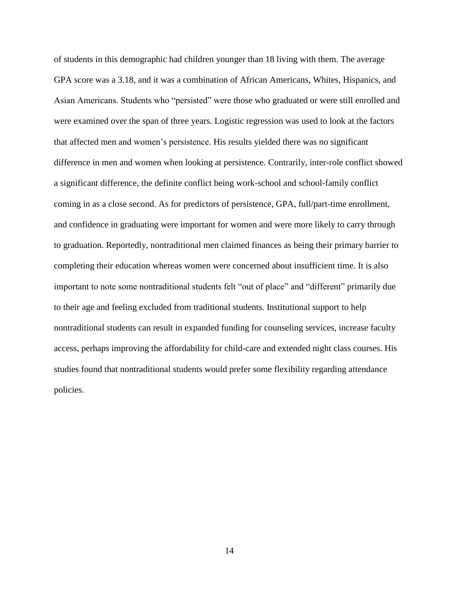of students in this demographic had children younger than 18 living with them. The average GPA score was a 3.18, and it was a combination of African Americans, Whites, Hispanics, and Asian Americans. Students who "persisted" were those who graduated or were still enrolled and were examined over the span of three years. Logistic regression was used to look at the factors that affected men and women's persistence. His results yielded there was no significant difference in men and women when looking at persistence. Contrarily, inter-role conflict showed a significant difference, the definite conflict being work-school and school-family conflict coming in as a close second. As for predictors of persistence, GPA, full/part-time enrollment, and confidence in graduating were important for women and were more likely to carry through to graduation. Reportedly, nontraditional men claimed finances as being their primary barrier to completing their education whereas women were concerned about insufficient time. It is also important to note some nontraditional students felt "out of place" and "different" primarily due to their age and feeling excluded from traditional students. Institutional support to help nontraditional students can result in expanded funding for counseling services, increase faculty access, perhaps improving the affordability for child-care and extended night class courses. His studies found that nontraditional students would prefer some flexibility regarding attendance policies.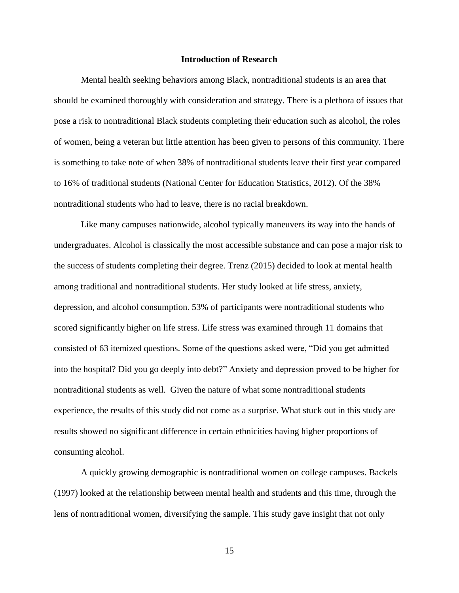### **Introduction of Research**

Mental health seeking behaviors among Black, nontraditional students is an area that should be examined thoroughly with consideration and strategy. There is a plethora of issues that pose a risk to nontraditional Black students completing their education such as alcohol, the roles of women, being a veteran but little attention has been given to persons of this community. There is something to take note of when 38% of nontraditional students leave their first year compared to 16% of traditional students (National Center for Education Statistics, 2012). Of the 38% nontraditional students who had to leave, there is no racial breakdown.

Like many campuses nationwide, alcohol typically maneuvers its way into the hands of undergraduates. Alcohol is classically the most accessible substance and can pose a major risk to the success of students completing their degree. Trenz (2015) decided to look at mental health among traditional and nontraditional students. Her study looked at life stress, anxiety, depression, and alcohol consumption. 53% of participants were nontraditional students who scored significantly higher on life stress. Life stress was examined through 11 domains that consisted of 63 itemized questions. Some of the questions asked were, "Did you get admitted into the hospital? Did you go deeply into debt?" Anxiety and depression proved to be higher for nontraditional students as well. Given the nature of what some nontraditional students experience, the results of this study did not come as a surprise. What stuck out in this study are results showed no significant difference in certain ethnicities having higher proportions of consuming alcohol.

A quickly growing demographic is nontraditional women on college campuses. Backels (1997) looked at the relationship between mental health and students and this time, through the lens of nontraditional women, diversifying the sample. This study gave insight that not only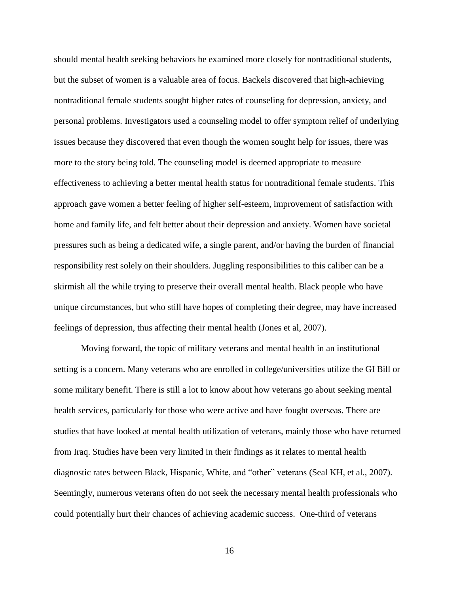should mental health seeking behaviors be examined more closely for nontraditional students, but the subset of women is a valuable area of focus. Backels discovered that high-achieving nontraditional female students sought higher rates of counseling for depression, anxiety, and personal problems. Investigators used a counseling model to offer symptom relief of underlying issues because they discovered that even though the women sought help for issues, there was more to the story being told. The counseling model is deemed appropriate to measure effectiveness to achieving a better mental health status for nontraditional female students. This approach gave women a better feeling of higher self-esteem, improvement of satisfaction with home and family life, and felt better about their depression and anxiety. Women have societal pressures such as being a dedicated wife, a single parent, and/or having the burden of financial responsibility rest solely on their shoulders. Juggling responsibilities to this caliber can be a skirmish all the while trying to preserve their overall mental health. Black people who have unique circumstances, but who still have hopes of completing their degree, may have increased feelings of depression, thus affecting their mental health (Jones et al, 2007).

Moving forward, the topic of military veterans and mental health in an institutional setting is a concern. Many veterans who are enrolled in college/universities utilize the GI Bill or some military benefit. There is still a lot to know about how veterans go about seeking mental health services, particularly for those who were active and have fought overseas. There are studies that have looked at mental health utilization of veterans, mainly those who have returned from Iraq. Studies have been very limited in their findings as it relates to mental health diagnostic rates between Black, Hispanic, White, and "other" veterans (Seal KH, et al., 2007). Seemingly, numerous veterans often do not seek the necessary mental health professionals who could potentially hurt their chances of achieving academic success. One-third of veterans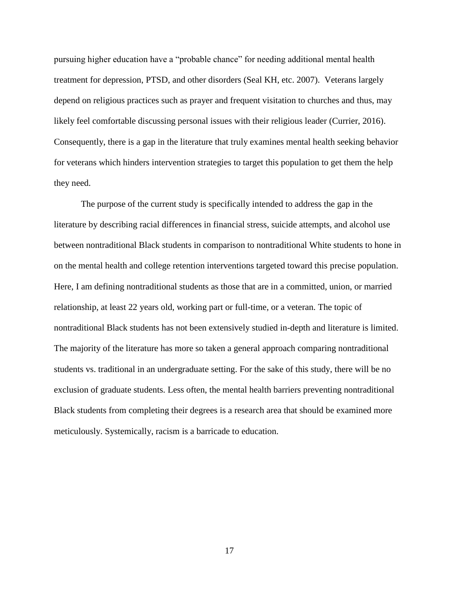pursuing higher education have a "probable chance" for needing additional mental health treatment for depression, PTSD, and other disorders (Seal KH, etc. 2007). Veterans largely depend on religious practices such as prayer and frequent visitation to churches and thus, may likely feel comfortable discussing personal issues with their religious leader (Currier, 2016). Consequently, there is a gap in the literature that truly examines mental health seeking behavior for veterans which hinders intervention strategies to target this population to get them the help they need.

The purpose of the current study is specifically intended to address the gap in the literature by describing racial differences in financial stress, suicide attempts, and alcohol use between nontraditional Black students in comparison to nontraditional White students to hone in on the mental health and college retention interventions targeted toward this precise population. Here, I am defining nontraditional students as those that are in a committed, union, or married relationship, at least 22 years old, working part or full-time, or a veteran. The topic of nontraditional Black students has not been extensively studied in-depth and literature is limited. The majority of the literature has more so taken a general approach comparing nontraditional students vs. traditional in an undergraduate setting. For the sake of this study, there will be no exclusion of graduate students. Less often, the mental health barriers preventing nontraditional Black students from completing their degrees is a research area that should be examined more meticulously. Systemically, racism is a barricade to education.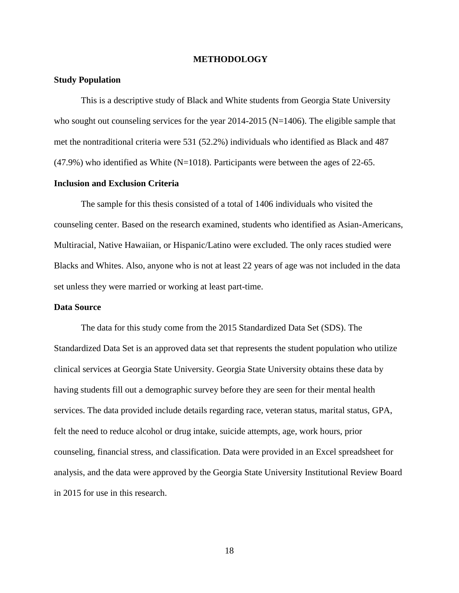### **METHODOLOGY**

### **Study Population**

This is a descriptive study of Black and White students from Georgia State University who sought out counseling services for the year 2014-2015 (N=1406). The eligible sample that met the nontraditional criteria were 531 (52.2%) individuals who identified as Black and 487  $(47.9%)$  who identified as White (N=1018). Participants were between the ages of 22-65.

### **Inclusion and Exclusion Criteria**

The sample for this thesis consisted of a total of 1406 individuals who visited the counseling center. Based on the research examined, students who identified as Asian-Americans, Multiracial, Native Hawaiian, or Hispanic/Latino were excluded. The only races studied were Blacks and Whites. Also, anyone who is not at least 22 years of age was not included in the data set unless they were married or working at least part-time.

### **Data Source**

The data for this study come from the 2015 Standardized Data Set (SDS). The Standardized Data Set is an approved data set that represents the student population who utilize clinical services at Georgia State University. Georgia State University obtains these data by having students fill out a demographic survey before they are seen for their mental health services. The data provided include details regarding race, veteran status, marital status, GPA, felt the need to reduce alcohol or drug intake, suicide attempts, age, work hours, prior counseling, financial stress, and classification. Data were provided in an Excel spreadsheet for analysis, and the data were approved by the Georgia State University Institutional Review Board in 2015 for use in this research.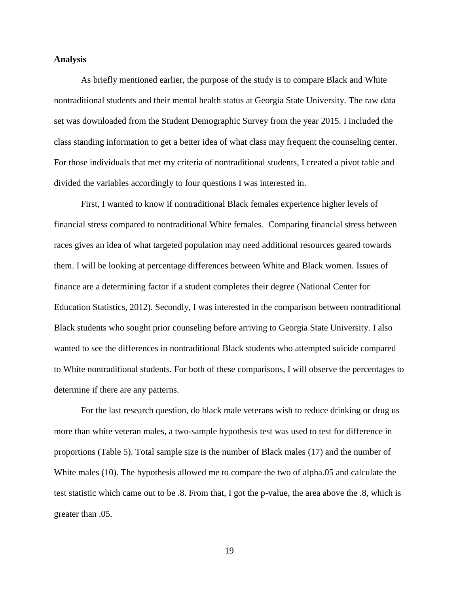#### **Analysis**

As briefly mentioned earlier, the purpose of the study is to compare Black and White nontraditional students and their mental health status at Georgia State University. The raw data set was downloaded from the Student Demographic Survey from the year 2015. I included the class standing information to get a better idea of what class may frequent the counseling center. For those individuals that met my criteria of nontraditional students, I created a pivot table and divided the variables accordingly to four questions I was interested in.

First, I wanted to know if nontraditional Black females experience higher levels of financial stress compared to nontraditional White females. Comparing financial stress between races gives an idea of what targeted population may need additional resources geared towards them. I will be looking at percentage differences between White and Black women. Issues of finance are a determining factor if a student completes their degree (National Center for Education Statistics, 2012). Secondly, I was interested in the comparison between nontraditional Black students who sought prior counseling before arriving to Georgia State University. I also wanted to see the differences in nontraditional Black students who attempted suicide compared to White nontraditional students. For both of these comparisons, I will observe the percentages to determine if there are any patterns.

For the last research question, do black male veterans wish to reduce drinking or drug us more than white veteran males, a two-sample hypothesis test was used to test for difference in proportions (Table 5). Total sample size is the number of Black males (17) and the number of White males (10). The hypothesis allowed me to compare the two of alpha.05 and calculate the test statistic which came out to be .8. From that, I got the p-value, the area above the .8, which is greater than .05.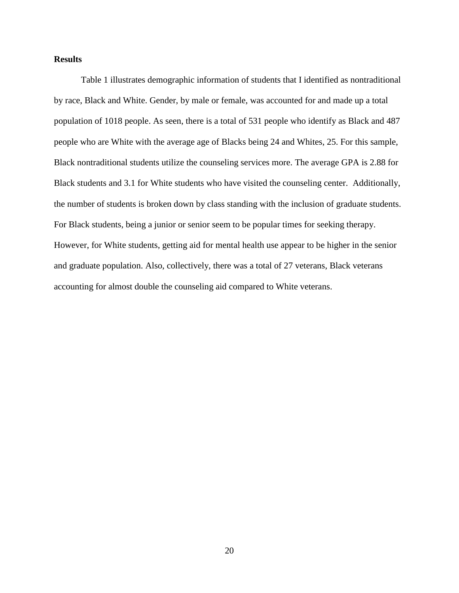### **Results**

Table 1 illustrates demographic information of students that I identified as nontraditional by race, Black and White. Gender, by male or female, was accounted for and made up a total population of 1018 people. As seen, there is a total of 531 people who identify as Black and 487 people who are White with the average age of Blacks being 24 and Whites, 25. For this sample, Black nontraditional students utilize the counseling services more. The average GPA is 2.88 for Black students and 3.1 for White students who have visited the counseling center. Additionally, the number of students is broken down by class standing with the inclusion of graduate students. For Black students, being a junior or senior seem to be popular times for seeking therapy. However, for White students, getting aid for mental health use appear to be higher in the senior and graduate population. Also, collectively, there was a total of 27 veterans, Black veterans accounting for almost double the counseling aid compared to White veterans.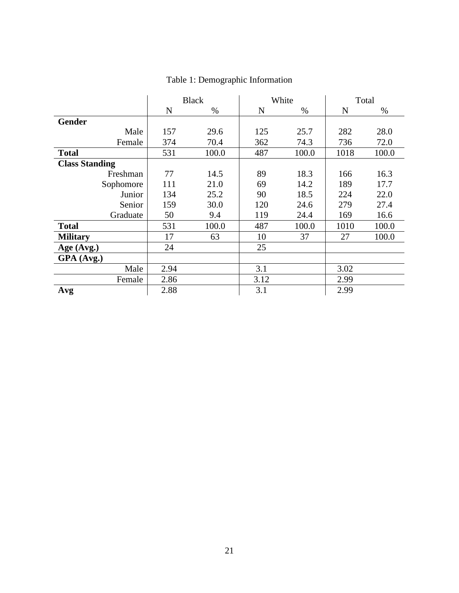|                       | <b>Black</b> |       | White |       | Total |       |
|-----------------------|--------------|-------|-------|-------|-------|-------|
|                       | N            | $\%$  | N     | $\%$  | N     | $\%$  |
| <b>Gender</b>         |              |       |       |       |       |       |
| Male                  | 157          | 29.6  | 125   | 25.7  | 282   | 28.0  |
| Female                | 374          | 70.4  | 362   | 74.3  | 736   | 72.0  |
| <b>Total</b>          | 531          | 100.0 | 487   | 100.0 | 1018  | 100.0 |
| <b>Class Standing</b> |              |       |       |       |       |       |
| Freshman              | 77           | 14.5  | 89    | 18.3  | 166   | 16.3  |
| Sophomore             | 111          | 21.0  | 69    | 14.2  | 189   | 17.7  |
| Junior                | 134          | 25.2  | 90    | 18.5  | 224   | 22.0  |
| Senior                | 159          | 30.0  | 120   | 24.6  | 279   | 27.4  |
| Graduate              | 50           | 9.4   | 119   | 24.4  | 169   | 16.6  |
| <b>Total</b>          | 531          | 100.0 | 487   | 100.0 | 1010  | 100.0 |
| <b>Military</b>       | 17           | 63    | 10    | 37    | 27    | 100.0 |
| Age (Avg.)            | 24           |       | 25    |       |       |       |
| GPA (Avg.)            |              |       |       |       |       |       |
| Male                  | 2.94         |       | 3.1   |       | 3.02  |       |
| Female                | 2.86         |       | 3.12  |       | 2.99  |       |
| Avg                   | 2.88         |       | 3.1   |       | 2.99  |       |

# Table 1: Demographic Information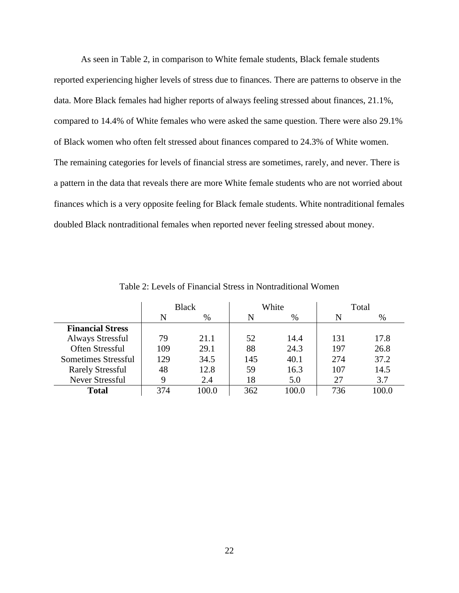As seen in Table 2, in comparison to White female students, Black female students reported experiencing higher levels of stress due to finances. There are patterns to observe in the data. More Black females had higher reports of always feeling stressed about finances, 21.1%, compared to 14.4% of White females who were asked the same question. There were also 29.1% of Black women who often felt stressed about finances compared to 24.3% of White women. The remaining categories for levels of financial stress are sometimes, rarely, and never. There is a pattern in the data that reveals there are more White female students who are not worried about finances which is a very opposite feeling for Black female students. White nontraditional females doubled Black nontraditional females when reported never feeling stressed about money.

|                         | <b>Black</b> |       |     | White | Total |       |
|-------------------------|--------------|-------|-----|-------|-------|-------|
|                         | N            | %     | N   | %     | N     | $\%$  |
| <b>Financial Stress</b> |              |       |     |       |       |       |
| <b>Always Stressful</b> | 79           | 21.1  | 52  | 14.4  | 131   | 17.8  |
| Often Stressful         | 109          | 29.1  | 88  | 24.3  | 197   | 26.8  |
| Sometimes Stressful     | 129          | 34.5  | 145 | 40.1  | 274   | 37.2  |
| <b>Rarely Stressful</b> | 48           | 12.8  | 59  | 16.3  | 107   | 14.5  |
| <b>Never Stressful</b>  | Q            | 2.4   | 18  | 5.0   | 27    | 3.7   |
| <b>Total</b>            | 374          | 100.0 | 362 | 100.0 | 736   | 100.0 |

Table 2: Levels of Financial Stress in Nontraditional Women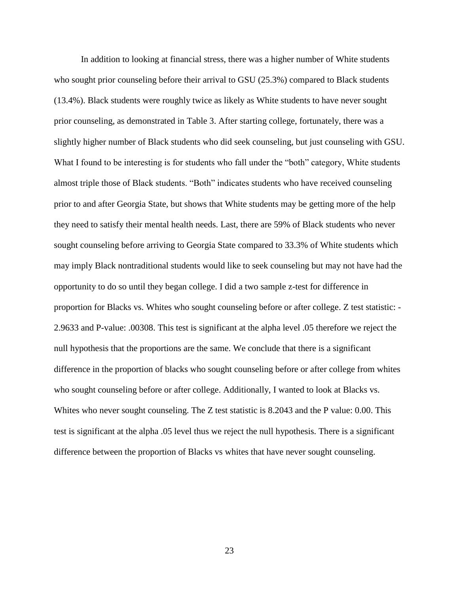In addition to looking at financial stress, there was a higher number of White students who sought prior counseling before their arrival to GSU (25.3%) compared to Black students (13.4%). Black students were roughly twice as likely as White students to have never sought prior counseling, as demonstrated in Table 3. After starting college, fortunately, there was a slightly higher number of Black students who did seek counseling, but just counseling with GSU. What I found to be interesting is for students who fall under the "both" category, White students almost triple those of Black students. "Both" indicates students who have received counseling prior to and after Georgia State, but shows that White students may be getting more of the help they need to satisfy their mental health needs. Last, there are 59% of Black students who never sought counseling before arriving to Georgia State compared to 33.3% of White students which may imply Black nontraditional students would like to seek counseling but may not have had the opportunity to do so until they began college. I did a two sample z-test for difference in proportion for Blacks vs. Whites who sought counseling before or after college. Z test statistic: - 2.9633 and P-value: .00308. This test is significant at the alpha level .05 therefore we reject the null hypothesis that the proportions are the same. We conclude that there is a significant difference in the proportion of blacks who sought counseling before or after college from whites who sought counseling before or after college. Additionally, I wanted to look at Blacks vs. Whites who never sought counseling. The Z test statistic is 8.2043 and the P value: 0.00. This test is significant at the alpha .05 level thus we reject the null hypothesis. There is a significant difference between the proportion of Blacks vs whites that have never sought counseling.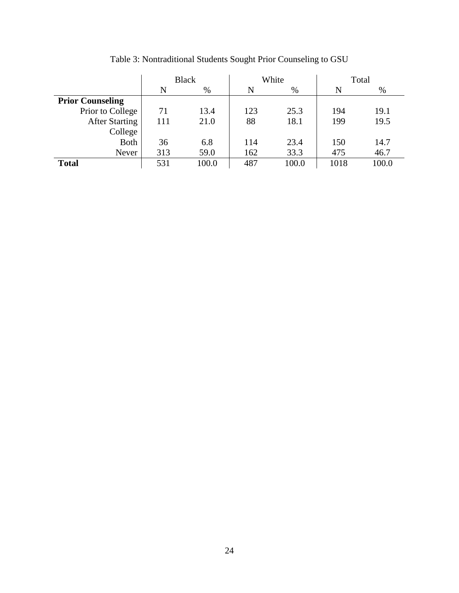|                         | <b>Black</b> |       |     | White | Total |       |
|-------------------------|--------------|-------|-----|-------|-------|-------|
|                         | N            | %     | N   | $\%$  | N     | %     |
| <b>Prior Counseling</b> |              |       |     |       |       |       |
| Prior to College        | 71           | 13.4  | 123 | 25.3  | 194   | 19.1  |
| <b>After Starting</b>   | 111          | 21.0  | 88  | 18.1  | 199   | 19.5  |
| College                 |              |       |     |       |       |       |
| <b>Both</b>             | 36           | 6.8   | 114 | 23.4  | 150   | 14.7  |
| Never                   | 313          | 59.0  | 162 | 33.3  | 475   | 46.7  |
| <b>Total</b>            | 531          | 100.0 | 487 | 100.0 | 1018  | 100.0 |

Table 3: Nontraditional Students Sought Prior Counseling to GSU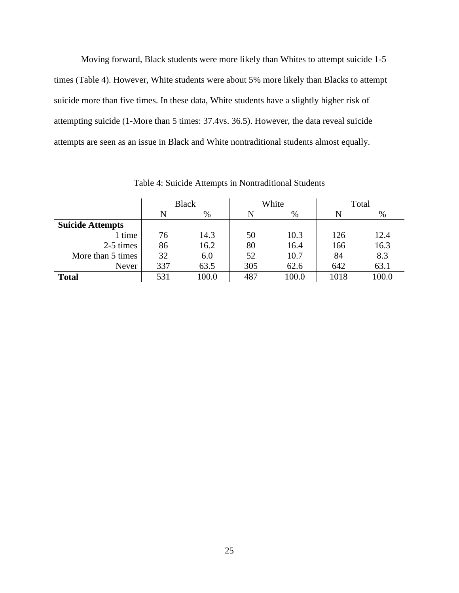Moving forward, Black students were more likely than Whites to attempt suicide 1-5 times (Table 4). However, White students were about 5% more likely than Blacks to attempt suicide more than five times. In these data, White students have a slightly higher risk of attempting suicide (1-More than 5 times: 37.4vs. 36.5). However, the data reveal suicide attempts are seen as an issue in Black and White nontraditional students almost equally.

|                         | <b>Black</b> |       |     | White | Total |       |
|-------------------------|--------------|-------|-----|-------|-------|-------|
|                         | N            | $\%$  |     | $\%$  | N     | $\%$  |
| <b>Suicide Attempts</b> |              |       |     |       |       |       |
| 1 time                  | 76           | 14.3  | 50  | 10.3  | 126   | 12.4  |
| 2-5 times               | 86           | 16.2  | 80  | 16.4  | 166   | 16.3  |
| More than 5 times       | 32           | 6.0   | 52  | 10.7  | 84    | 8.3   |
| Never                   | 337          | 63.5  | 305 | 62.6  | 642   | 63.1  |
| <b>Total</b>            | 531          | 100.0 | 487 | 100.0 | 1018  | 100.0 |

Table 4: Suicide Attempts in Nontraditional Students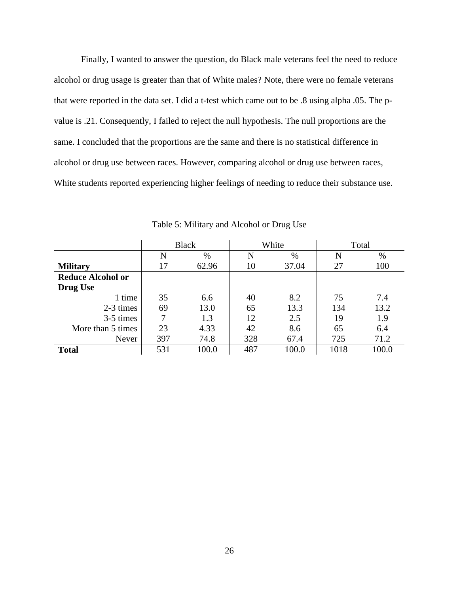Finally, I wanted to answer the question, do Black male veterans feel the need to reduce alcohol or drug usage is greater than that of White males? Note, there were no female veterans that were reported in the data set. I did a t-test which came out to be .8 using alpha .05. The pvalue is .21. Consequently, I failed to reject the null hypothesis. The null proportions are the same. I concluded that the proportions are the same and there is no statistical difference in alcohol or drug use between races. However, comparing alcohol or drug use between races, White students reported experiencing higher feelings of needing to reduce their substance use.

|                          |     | <b>Black</b> | White |       |      | Total |
|--------------------------|-----|--------------|-------|-------|------|-------|
|                          | N   | $\%$         | N     | %     | N    | %     |
| <b>Military</b>          | 17  | 62.96        | 10    | 37.04 | 27   | 100   |
| <b>Reduce Alcohol or</b> |     |              |       |       |      |       |
| <b>Drug Use</b>          |     |              |       |       |      |       |
| 1 time                   | 35  | 6.6          | 40    | 8.2   | 75   | 7.4   |
| 2-3 times                | 69  | 13.0         | 65    | 13.3  | 134  | 13.2  |
| 3-5 times                | 7   | 1.3          | 12    | 2.5   | 19   | 1.9   |
| More than 5 times        | 23  | 4.33         | 42    | 8.6   | 65   | 6.4   |
| Never                    | 397 | 74.8         | 328   | 67.4  | 725  | 71.2  |
| <b>Total</b>             | 531 | 100.0        | 487   | 100.0 | 1018 | 100.0 |

Table 5: Military and Alcohol or Drug Use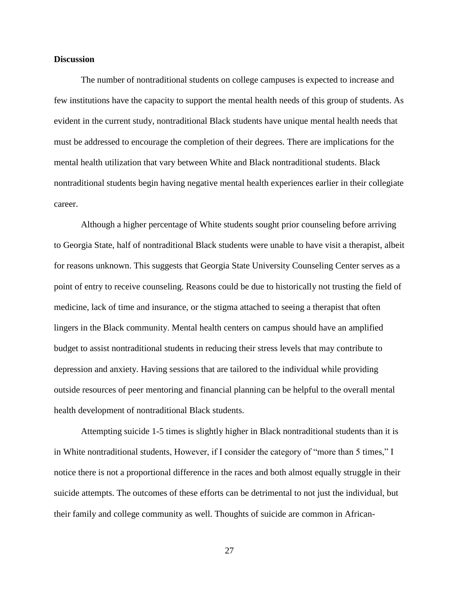### **Discussion**

The number of nontraditional students on college campuses is expected to increase and few institutions have the capacity to support the mental health needs of this group of students. As evident in the current study, nontraditional Black students have unique mental health needs that must be addressed to encourage the completion of their degrees. There are implications for the mental health utilization that vary between White and Black nontraditional students. Black nontraditional students begin having negative mental health experiences earlier in their collegiate career.

Although a higher percentage of White students sought prior counseling before arriving to Georgia State, half of nontraditional Black students were unable to have visit a therapist, albeit for reasons unknown. This suggests that Georgia State University Counseling Center serves as a point of entry to receive counseling. Reasons could be due to historically not trusting the field of medicine, lack of time and insurance, or the stigma attached to seeing a therapist that often lingers in the Black community. Mental health centers on campus should have an amplified budget to assist nontraditional students in reducing their stress levels that may contribute to depression and anxiety. Having sessions that are tailored to the individual while providing outside resources of peer mentoring and financial planning can be helpful to the overall mental health development of nontraditional Black students.

Attempting suicide 1-5 times is slightly higher in Black nontraditional students than it is in White nontraditional students, However, if I consider the category of "more than 5 times," I notice there is not a proportional difference in the races and both almost equally struggle in their suicide attempts. The outcomes of these efforts can be detrimental to not just the individual, but their family and college community as well. Thoughts of suicide are common in African-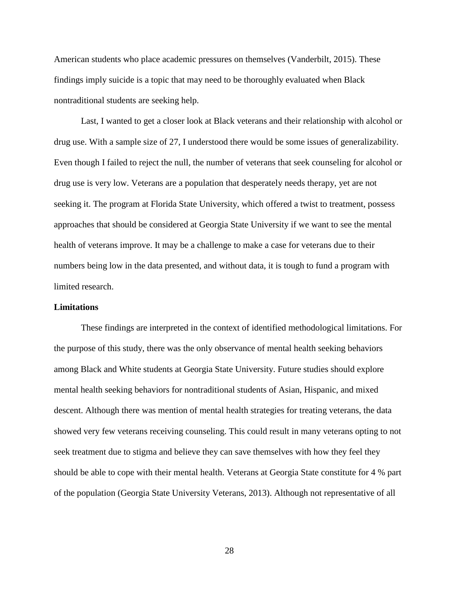American students who place academic pressures on themselves (Vanderbilt, 2015). These findings imply suicide is a topic that may need to be thoroughly evaluated when Black nontraditional students are seeking help.

Last, I wanted to get a closer look at Black veterans and their relationship with alcohol or drug use. With a sample size of 27, I understood there would be some issues of generalizability. Even though I failed to reject the null, the number of veterans that seek counseling for alcohol or drug use is very low. Veterans are a population that desperately needs therapy, yet are not seeking it. The program at Florida State University, which offered a twist to treatment, possess approaches that should be considered at Georgia State University if we want to see the mental health of veterans improve. It may be a challenge to make a case for veterans due to their numbers being low in the data presented, and without data, it is tough to fund a program with limited research.

### **Limitations**

These findings are interpreted in the context of identified methodological limitations. For the purpose of this study, there was the only observance of mental health seeking behaviors among Black and White students at Georgia State University. Future studies should explore mental health seeking behaviors for nontraditional students of Asian, Hispanic, and mixed descent. Although there was mention of mental health strategies for treating veterans, the data showed very few veterans receiving counseling. This could result in many veterans opting to not seek treatment due to stigma and believe they can save themselves with how they feel they should be able to cope with their mental health. Veterans at Georgia State constitute for 4 % part of the population (Georgia State University Veterans, 2013). Although not representative of all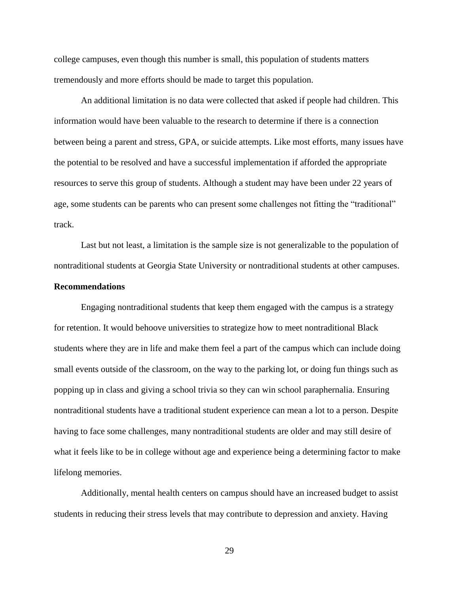college campuses, even though this number is small, this population of students matters tremendously and more efforts should be made to target this population.

An additional limitation is no data were collected that asked if people had children. This information would have been valuable to the research to determine if there is a connection between being a parent and stress, GPA, or suicide attempts. Like most efforts, many issues have the potential to be resolved and have a successful implementation if afforded the appropriate resources to serve this group of students. Although a student may have been under 22 years of age, some students can be parents who can present some challenges not fitting the "traditional" track.

Last but not least, a limitation is the sample size is not generalizable to the population of nontraditional students at Georgia State University or nontraditional students at other campuses.

## **Recommendations**

Engaging nontraditional students that keep them engaged with the campus is a strategy for retention. It would behoove universities to strategize how to meet nontraditional Black students where they are in life and make them feel a part of the campus which can include doing small events outside of the classroom, on the way to the parking lot, or doing fun things such as popping up in class and giving a school trivia so they can win school paraphernalia. Ensuring nontraditional students have a traditional student experience can mean a lot to a person. Despite having to face some challenges, many nontraditional students are older and may still desire of what it feels like to be in college without age and experience being a determining factor to make lifelong memories.

Additionally, mental health centers on campus should have an increased budget to assist students in reducing their stress levels that may contribute to depression and anxiety. Having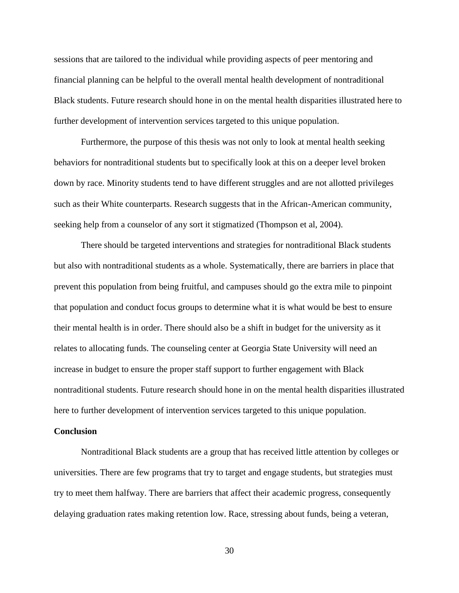sessions that are tailored to the individual while providing aspects of peer mentoring and financial planning can be helpful to the overall mental health development of nontraditional Black students. Future research should hone in on the mental health disparities illustrated here to further development of intervention services targeted to this unique population.

Furthermore, the purpose of this thesis was not only to look at mental health seeking behaviors for nontraditional students but to specifically look at this on a deeper level broken down by race. Minority students tend to have different struggles and are not allotted privileges such as their White counterparts. Research suggests that in the African-American community, seeking help from a counselor of any sort it stigmatized (Thompson et al, 2004).

There should be targeted interventions and strategies for nontraditional Black students but also with nontraditional students as a whole. Systematically, there are barriers in place that prevent this population from being fruitful, and campuses should go the extra mile to pinpoint that population and conduct focus groups to determine what it is what would be best to ensure their mental health is in order. There should also be a shift in budget for the university as it relates to allocating funds. The counseling center at Georgia State University will need an increase in budget to ensure the proper staff support to further engagement with Black nontraditional students. Future research should hone in on the mental health disparities illustrated here to further development of intervention services targeted to this unique population.

### **Conclusion**

Nontraditional Black students are a group that has received little attention by colleges or universities. There are few programs that try to target and engage students, but strategies must try to meet them halfway. There are barriers that affect their academic progress, consequently delaying graduation rates making retention low. Race, stressing about funds, being a veteran,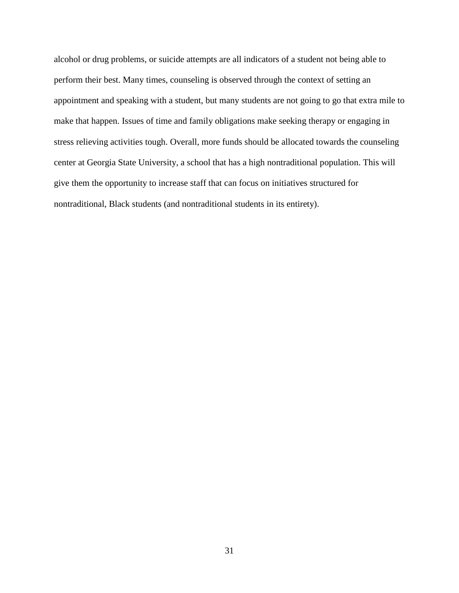alcohol or drug problems, or suicide attempts are all indicators of a student not being able to perform their best. Many times, counseling is observed through the context of setting an appointment and speaking with a student, but many students are not going to go that extra mile to make that happen. Issues of time and family obligations make seeking therapy or engaging in stress relieving activities tough. Overall, more funds should be allocated towards the counseling center at Georgia State University, a school that has a high nontraditional population. This will give them the opportunity to increase staff that can focus on initiatives structured for nontraditional, Black students (and nontraditional students in its entirety).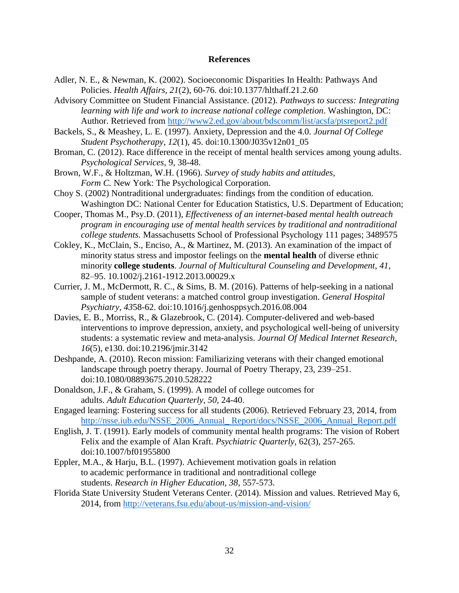### **References**

- Adler, N. E., & Newman, K. (2002). Socioeconomic Disparities In Health: Pathways And Policies. *Health Affairs, 21*(2), 60-76. doi:10.1377/hlthaff.21.2.60
- Advisory Committee on Student Financial Assistance. (2012). *Pathways to success: Integrating learning with life and work to increase national college completion*. Washington, DC: Author. Retrieved from<http://www2.ed.gov/about/bdscomm/list/acsfa/ptsreport2.pdf>
- Backels, S., & Meashey, L. E. (1997). Anxiety, Depression and the 4.0. *Journal Of College Student Psychotherapy*, *12*(1), 45. doi:10.1300/J035v12n01\_05
- Broman, C. (2012). Race difference in the receipt of mental health services among young adults. *Psychological Services,* 9, 38-48.
- Brown, W.F., & Holtzman, W.H. (1966). *Survey of study habits and attitudes,* Form C. New York: The Psychological Corporation.
- Choy S. (2002) Nontraditional undergraduates: findings from the condition of education. Washington DC: National Center for Education Statistics, U.S. Department of Education;
- Cooper, Thomas M., Psy.D. (2011), *Effectiveness of an internet-based mental health outreach program in encouraging use of mental health services by traditional and nontraditional college students.* Massachusetts School of Professional Psychology 111 pages; 3489575
- Cokley, K., McClain, S., Enciso, A., & Martinez, M. (2013). An examination of the impact of minority status stress and impostor feelings on the **mental health** of diverse ethnic minority **college students**. *Journal of Multicultural Counseling and Development*, *41*, 82–95. 10.1002/j.2161-1912.2013.00029.x
- Currier, J. M., McDermott, R. C., & Sims, B. M. (2016). Patterns of help-seeking in a national sample of student veterans: a matched control group investigation. *General Hospital Psychiatry*, *43*58-62. doi:10.1016/j.genhosppsych.2016.08.004
- Davies, E. B., Morriss, R., & Glazebrook, C. (2014). Computer-delivered and web-based interventions to improve depression, anxiety, and psychological well-being of university students: a systematic review and meta-analysis. *Journal Of Medical Internet Research*, *16*(5), e130. doi:10.2196/jmir.3142
- Deshpande, A. (2010). Recon mission: Familiarizing veterans with their changed emotional landscape through poetry therapy. Journal of Poetry Therapy, 23, 239–251. doi:10.1080/08893675.2010.528222
- Donaldson, J.F., & Graham, S. (1999). A model of college outcomes for adults. *Adult Education Quarterly, 50,* 24-40.
- Engaged learning: Fostering success for all students (2006). Retrieved February 23, 2014, from http://nsse.jub.edu/NSSE\_2006\_Annual\_ Report/docs/NSSE\_2006\_Annual\_Report.pdf
- English, J. T. (1991). Early models of community mental health programs: The vision of Robert Felix and the example of Alan Kraft. *Psychiatric Quarterly,* 62(3), 257-265. doi:10.1007/bf01955800
- Eppler, M.A., & Harju, B.L. (1997). Achievement motivation goals in relation to academic performance in traditional and nontraditional college students. *Research in Higher Education, 38,* 557-573.
- Florida State University Student Veterans Center. (2014). Mission and values. Retrieved May 6, 2014, from<http://veterans.fsu.edu/about-us/mission-and-vision/>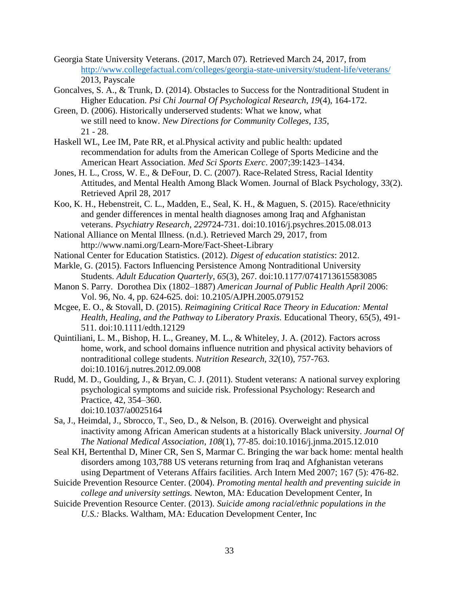- Georgia State University Veterans. (2017, March 07). Retrieved March 24, 2017, from <http://www.collegefactual.com/colleges/georgia-state-university/student-life/veterans/> 2013, Payscale
- Goncalves, S. A., & Trunk, D. (2014). Obstacles to Success for the Nontraditional Student in Higher Education. *Psi Chi Journal Of Psychological Research*, *19*(4), 164-172.
- Green, D. (2006). Historically underserved students: What we know, what we still need to know. *New Directions for Community Colleges*, *135*, 21 - 28.
- Haskell WL, Lee IM, Pate RR, et al.Physical activity and public health: updated recommendation for adults from the American College of Sports Medicine and the American Heart Association. *Med Sci Sports Exerc*. 2007;39:1423–1434.
- Jones, H. L., Cross, W. E., & DeFour, D. C. (2007). Race-Related Stress, Racial Identity Attitudes, and Mental Health Among Black Women. Journal of Black Psychology, 33(2). Retrieved April 28, 2017
- Koo, K. H., Hebenstreit, C. L., Madden, E., Seal, K. H., & Maguen, S. (2015). Race/ethnicity and gender differences in mental health diagnoses among Iraq and Afghanistan veterans. *Psychiatry Research*, *229*724-731. doi:10.1016/j.psychres.2015.08.013
- National Alliance on Mental Illness. (n.d.). Retrieved March 29, 2017, from http://www.nami.org/Learn-More/Fact-Sheet-Library
- National Center for Education Statistics. (2012). *Digest of education statistics*: 2012.
- Markle, G. (2015). Factors Influencing Persistence Among Nontraditional University Students. *Adult Education Quarterly*, *65*(3), 267. doi:10.1177/0741713615583085
- Manon S. Parry. Dorothea Dix (1802–1887) *American Journal of Public Health April* 2006: Vol. 96, No. 4, pp. 624-625. doi: 10.2105/AJPH.2005.079152
- Mcgee, E. O., & Stovall, D. (2015). *Reimagining Critical Race Theory in Education: Mental Health, Healing, and the Pathway to Liberatory Praxis.* Educational Theory, 65(5), 491- 511. doi:10.1111/edth.12129
- Quintiliani, L. M., Bishop, H. L., Greaney, M. L., & Whiteley, J. A. (2012). Factors across home, work, and school domains influence nutrition and physical activity behaviors of nontraditional college students. *Nutrition Research, 32*(10), 757-763. doi:10.1016/j.nutres.2012.09.008
- Rudd, M. D., Goulding, J., & Bryan, C. J. (2011). Student veterans: A national survey exploring psychological symptoms and suicide risk. Professional Psychology: Research and Practice, 42, 354–360. doi:10.1037/a0025164
- Sa, J., Heimdal, J., Sbrocco, T., Seo, D., & Nelson, B. (2016). Overweight and physical inactivity among African American students at a historically Black university. *Journal Of The National Medical Association*, *108*(1), 77-85. doi:10.1016/j.jnma.2015.12.010
- Seal KH, Bertenthal D, Miner CR, Sen S, Marmar C. Bringing the war back home: mental health disorders among 103,788 US veterans returning from Iraq and Afghanistan veterans using Department of Veterans Affairs facilities. Arch Intern Med 2007; 167 (5): 476-82.
- Suicide Prevention Resource Center. (2004). *Promoting mental health and preventing suicide in college and university settings.* Newton, MA: Education Development Center, In
- Suicide Prevention Resource Center. (2013). *Suicide among racial/ethnic populations in the U.S.:* Blacks. Waltham, MA: Education Development Center, Inc